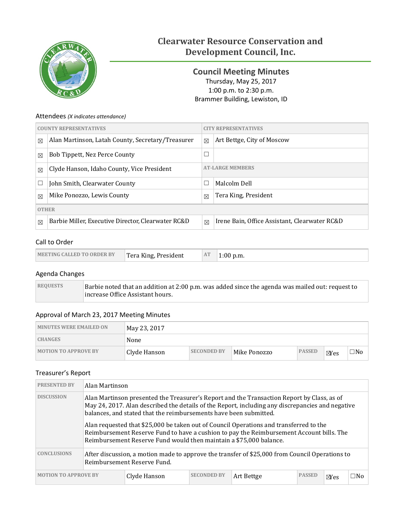

# **Clearwater Resource Conservation and Development Council, Inc.**

<span id="page-0-0"></span>**Council Meeting Minutes** Thursday, May 25, 2017 1:00 p.m. to 2:30 p.m. Brammer Building, Lewiston, ID

### Attendees *(X indicates attendance)*

|              | <b>COUNTY REPRESENTATIVES</b>                      |             | <b>CITY REPRESENTATIVES</b>                   |  |  |  |
|--------------|----------------------------------------------------|-------------|-----------------------------------------------|--|--|--|
| $\boxtimes$  | Alan Martinson, Latah County, Secretary/Treasurer  | $\boxtimes$ | Art Bettge, City of Moscow                    |  |  |  |
| $\boxtimes$  | Bob Tippett, Nez Perce County                      | $\Box$      |                                               |  |  |  |
| $\boxtimes$  | Clyde Hanson, Idaho County, Vice President         |             | <b>AT-LARGE MEMBERS</b>                       |  |  |  |
| $\Box$       | John Smith, Clearwater County                      | П           | Malcolm Dell                                  |  |  |  |
| $\boxtimes$  | Mike Ponozzo, Lewis County                         | $\boxtimes$ | Tera King, President                          |  |  |  |
| <b>OTHER</b> |                                                    |             |                                               |  |  |  |
| $\boxtimes$  | Barbie Miller, Executive Director, Clearwater RC&D | $\boxtimes$ | Irene Bain, Office Assistant, Clearwater RC&D |  |  |  |

## Call to Order

| Tera King, President<br><b>MEETING CALLED TO ORDER BY</b> | AT | p.m.<br>1:00.7 |
|-----------------------------------------------------------|----|----------------|
|-----------------------------------------------------------|----|----------------|

### Agenda Changes

| <b>REQUESTS</b> | Barbie noted that an addition at 2:00 p.m. was added since the agenda was mailed out: request to |
|-----------------|--------------------------------------------------------------------------------------------------|
|                 | increase Office Assistant hours.                                                                 |

## Approval of March 23, 2017 Meeting Minutes

| <b>MINUTES WERE EMAILED ON</b> | May 23, 2017 |                    |              |               |                |     |
|--------------------------------|--------------|--------------------|--------------|---------------|----------------|-----|
| <b>CHANGES</b>                 | None         |                    |              |               |                |     |
| <b>MOTION TO APPROVE BY</b>    | Clyde Hanson | <b>SECONDED BY</b> | Mike Ponozzo | <b>PASSED</b> | $\boxtimes$ es | □No |

#### Treasurer's Report

| <b>PRESENTED BY</b>                                                                                                                                                                                                                                                                      |  | Alan Martinson                                                     |                    |                                                                                                                                                                                    |               |                |              |  |
|------------------------------------------------------------------------------------------------------------------------------------------------------------------------------------------------------------------------------------------------------------------------------------------|--|--------------------------------------------------------------------|--------------------|------------------------------------------------------------------------------------------------------------------------------------------------------------------------------------|---------------|----------------|--------------|--|
| <b>DISCUSSION</b><br>Alan Martinson presented the Treasurer's Report and the Transaction Report by Class, as of<br>May 24, 2017. Alan described the details of the Report, including any discrepancies and negative<br>balances, and stated that the reimbursements have been submitted. |  |                                                                    |                    |                                                                                                                                                                                    |               |                |              |  |
|                                                                                                                                                                                                                                                                                          |  | Reimbursement Reserve Fund would then maintain a \$75,000 balance. |                    | Alan requested that \$25,000 be taken out of Council Operations and transferred to the<br>Reimbursement Reserve Fund to have a cushion to pay the Reimbursement Account bills. The |               |                |              |  |
| <b>CONCLUSIONS</b>                                                                                                                                                                                                                                                                       |  | Reimbursement Reserve Fund.                                        |                    | After discussion, a motion made to approve the transfer of \$25,000 from Council Operations to                                                                                     |               |                |              |  |
| <b>MOTION TO APPROVE BY</b>                                                                                                                                                                                                                                                              |  | Clyde Hanson                                                       | <b>SECONDED BY</b> | Art Bettge                                                                                                                                                                         | <b>PASSED</b> | $\boxtimes$ es | $\square$ No |  |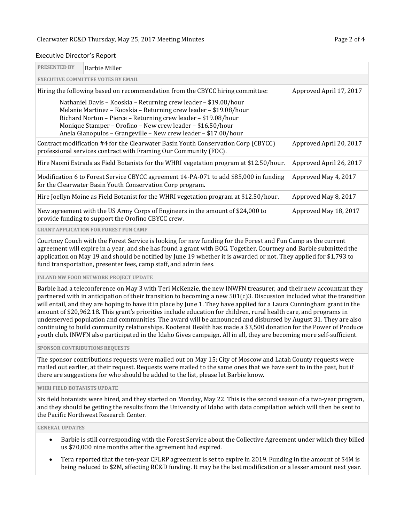#### Executive Director's Report

| <b>PRESENTED BY</b> | Barbie Miller                                                                                                                                                                                                                                                                                                                            |                         |  |  |  |  |  |
|---------------------|------------------------------------------------------------------------------------------------------------------------------------------------------------------------------------------------------------------------------------------------------------------------------------------------------------------------------------------|-------------------------|--|--|--|--|--|
|                     | <b>EXECUTIVE COMMITTEE VOTES BY EMAIL</b>                                                                                                                                                                                                                                                                                                |                         |  |  |  |  |  |
|                     | Hiring the following based on recommendation from the CBYCC hiring committee:                                                                                                                                                                                                                                                            | Approved April 17, 2017 |  |  |  |  |  |
|                     | Nathaniel Davis - Kooskia - Returning crew leader - \$19.08/hour<br>Melanie Martinez - Kooskia - Returning crew leader - \$19.08/hour<br>Richard Norton - Pierce - Returning crew leader - \$19.08/hour<br>Monique Stamper - Orofino - New crew leader - \$16.50/hour<br>Anela Gianopulos - Grangeville - New crew leader - \$17.00/hour |                         |  |  |  |  |  |
|                     | Contract modification #4 for the Clearwater Basin Youth Conservation Corp (CBYCC)<br>Approved April 20, 2017<br>professional services contract with Framing Our Community (FOC).                                                                                                                                                         |                         |  |  |  |  |  |
|                     | Hire Naomi Estrada as Field Botanists for the WHRI vegetation program at \$12.50/hour.                                                                                                                                                                                                                                                   | Approved April 26, 2017 |  |  |  |  |  |
|                     | Modification 6 to Forest Service CBYCC agreement 14-PA-071 to add \$85,000 in funding<br>Approved May 4, 2017<br>for the Clearwater Basin Youth Conservation Corp program.                                                                                                                                                               |                         |  |  |  |  |  |
|                     | Hire Joellyn Moine as Field Botanist for the WHRI vegetation program at \$12.50/hour.<br>Approved May 8, 2017                                                                                                                                                                                                                            |                         |  |  |  |  |  |
|                     | New agreement with the US Army Corps of Engineers in the amount of \$24,000 to<br>provide funding to support the Orofino CBYCC crew.                                                                                                                                                                                                     | Approved May 18, 2017   |  |  |  |  |  |
|                     | $\alpha$ p i vin i prvi velimvo vi no p. no premi nivy elimin                                                                                                                                                                                                                                                                            |                         |  |  |  |  |  |

**GRANT APPLICATION FOR FOREST FUN CAMP**

Courtney Couch with the Forest Service is looking for new funding for the Forest and Fun Camp as the current agreement will expire in a year, and she has found a grant with BOG. Together, Courtney and Barbie submitted the application on May 19 and should be notified by June 19 whether it is awarded or not. They applied for \$1,793 to fund transportation, presenter fees, camp staff, and admin fees.

#### **INLAND NW FOOD NETWORK PROJECT UPDATE**

Barbie had a teleconference on May 3 with Teri McKenzie, the new INWFN treasurer, and their new accountant they partnered with in anticipation of their transition to becoming a new 501(c)3. Discussion included what the transition will entail, and they are hoping to have it in place by June 1. They have applied for a Laura Cunningham grant in the amount of \$20,962.18. This grant's priorities include education for children, rural health care, and programs in underserved population and communities. The award will be announced and disbursed by August 31. They are also continuing to build community relationships. Kootenai Health has made a \$3,500 donation for the Power of Produce youth club. INWFN also participated in the Idaho Gives campaign. All in all, they are becoming more self-sufficient.

#### **SPONSOR CONTRIBUTIONS REQUESTS**

The sponsor contributions requests were mailed out on May 15; City of Moscow and Latah County requests were mailed out earlier, at their request. Requests were mailed to the same ones that we have sent to in the past, but if there are suggestions for who should be added to the list, please let Barbie know.

#### **WHRI FIELD BOTANISTS UPDATE**

Six field botanists were hired, and they started on Monday, May 22. This is the second season of a two-year program, and they should be getting the results from the University of Idaho with data compilation which will then be sent to the Pacific Northwest Research Center.

#### **GENERAL UPDATES**

- Barbie is still corresponding with the Forest Service about the Collective Agreement under which they billed us \$70,000 nine months after the agreement had expired.
- Tera reported that the ten-year CFLRP agreement is set to expire in 2019. Funding in the amount of \$4M is being reduced to \$2M, affecting RC&D funding. It may be the last modification or a lesser amount next year.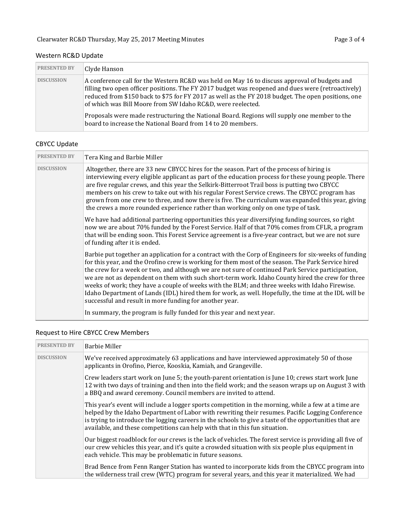## Western RC&D Update

| <b>PRESENTED BY</b> | Clyde Hanson                                                                                                                                                                                                                                                                                                                                                           |
|---------------------|------------------------------------------------------------------------------------------------------------------------------------------------------------------------------------------------------------------------------------------------------------------------------------------------------------------------------------------------------------------------|
| <b>DISCUSSION</b>   | A conference call for the Western RC&D was held on May 16 to discuss approval of budgets and<br>filling two open officer positions. The FY 2017 budget was reopened and dues were (retroactively)<br>reduced from \$150 back to \$75 for FY 2017 as well as the FY 2018 budget. The open positions, one<br>of which was Bill Moore from SW Idaho RC&D, were reelected. |
|                     | Proposals were made restructuring the National Board. Regions will supply one member to the<br>board to increase the National Board from 14 to 20 members.                                                                                                                                                                                                             |

## CBYCC Update

| <b>PRESENTED BY</b> | Tera King and Barbie Miller                                                                                                                                                                                                                                                                                                                                                                                                                                                                                                                                                                                                                                                              |
|---------------------|------------------------------------------------------------------------------------------------------------------------------------------------------------------------------------------------------------------------------------------------------------------------------------------------------------------------------------------------------------------------------------------------------------------------------------------------------------------------------------------------------------------------------------------------------------------------------------------------------------------------------------------------------------------------------------------|
| <b>DISCUSSION</b>   | Altogether, there are 33 new CBYCC hires for the season. Part of the process of hiring is<br>interviewing every eligible applicant as part of the education process for these young people. There<br>are five regular crews, and this year the Selkirk-Bitterroot Trail boss is putting two CBYCC<br>members on his crew to take out with his regular Forest Service crews. The CBYCC program has<br>grown from one crew to three, and now there is five. The curriculum was expanded this year, giving<br>the crews a more rounded experience rather than working only on one type of task.                                                                                             |
|                     | We have had additional partnering opportunities this year diversifying funding sources, so right<br>now we are about 70% funded by the Forest Service. Half of that 70% comes from CFLR, a program<br>that will be ending soon. This Forest Service agreement is a five-year contract, but we are not sure<br>of funding after it is ended.                                                                                                                                                                                                                                                                                                                                              |
|                     | Barbie put together an application for a contract with the Corp of Engineers for six-weeks of funding<br>for this year, and the Orofino crew is working for them most of the season. The Park Service hired<br>the crew for a week or two, and although we are not sure of continued Park Service participation,<br>we are not as dependent on them with such short-term work. Idaho County hired the crew for three<br>weeks of work; they have a couple of weeks with the BLM; and three weeks with Idaho Firewise.<br>Idaho Department of Lands (IDL) hired them for work, as well. Hopefully, the time at the IDL will be<br>successful and result in more funding for another year. |
|                     | In summary, the program is fully funded for this year and next year.                                                                                                                                                                                                                                                                                                                                                                                                                                                                                                                                                                                                                     |

## Request to Hire CBYCC Crew Members

| <b>PRESENTED BY</b> | <b>Barbie Miller</b>                                                                                                                                                                                                                                                                                                                                                                               |
|---------------------|----------------------------------------------------------------------------------------------------------------------------------------------------------------------------------------------------------------------------------------------------------------------------------------------------------------------------------------------------------------------------------------------------|
| <b>DISCUSSION</b>   | We've received approximately 63 applications and have interviewed approximately 50 of those<br>applicants in Orofino, Pierce, Kooskia, Kamiah, and Grangeville.                                                                                                                                                                                                                                    |
|                     | Crew leaders start work on June 5; the youth-parent orientation is June 10; crews start work June<br>12 with two days of training and then into the field work; and the season wraps up on August 3 with<br>a BBQ and award ceremony. Council members are invited to attend.                                                                                                                       |
|                     | This year's event will include a logger sports competition in the morning, while a few at a time are<br>helped by the Idaho Department of Labor with rewriting their resumes. Pacific Logging Conference<br>is trying to introduce the logging careers in the schools to give a taste of the opportunities that are<br>available, and these competitions can help with that in this fun situation. |
|                     | Our biggest roadblock for our crews is the lack of vehicles. The forest service is providing all five of<br>our crew vehicles this year, and it's quite a crowded situation with six people plus equipment in<br>each vehicle. This may be problematic in future seasons.                                                                                                                          |
|                     | Brad Bence from Fenn Ranger Station has wanted to incorporate kids from the CBYCC program into<br>the wilderness trail crew (WTC) program for several years, and this year it materialized. We had                                                                                                                                                                                                 |